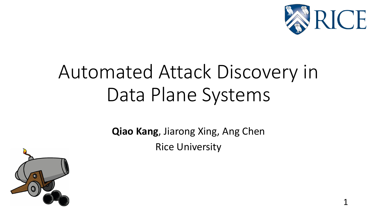

1

# Automated Attack Discovery in Data Plane Systems

**Qiao Kang**, Jiarong Xing, Ang Chen Rice University

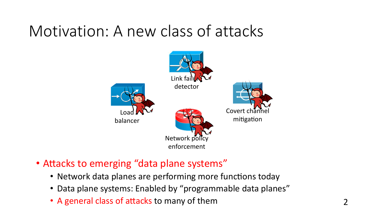#### Motivation: A new class of attacks



- Attacks to emerging "data plane systems"
	- Network data planes are performing more functions today
	- Data plane systems: Enabled by "programmable data planes"
	- A general class of attacks to many of them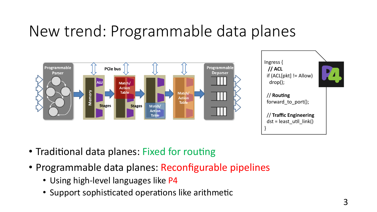#### New trend: Programmable data planes



- Traditional data planes: Fixed for routing
- Programmable data planes: Reconfigurable pipelines
	- Using high-level languages like P4
	- Support sophisticated operations like arithmetic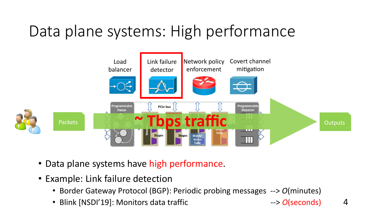## Data plane systems: High performance



- Data plane systems have high performance.
- Example: Link failure detection
	- Border Gateway Protocol (BGP): Periodic probing messages --> *O*(minutes)
	- Blink [NSDI'19]: Monitors data traffic --> *O*(seconds)
- 4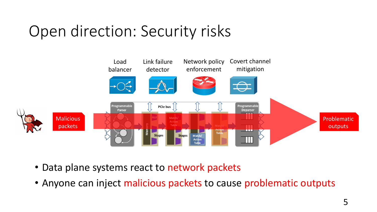## Open direction: Security risks



- Data plane systems react to network packets
- Anyone can inject malicious packets to cause problematic outputs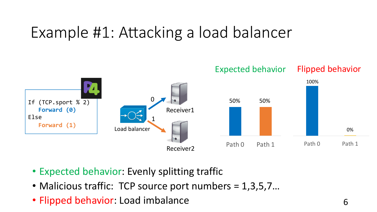## Example #1: Attacking a load balancer



6

- Expected behavior: Evenly splitting traffic
- Malicious traffic: TCP source port numbers = 1,3,5,7...
- Flipped behavior: Load imbalance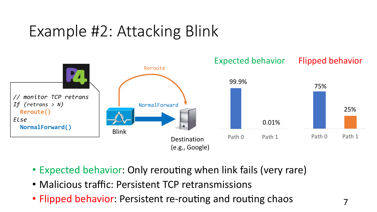## Example #2: Attacking Blink



7

- Expected behavior: Only rerouting when link fails (very rare)
- Malicious traffic: Persistent TCP retransmissions
- Flipped behavior: Persistent re-routing and routing chaos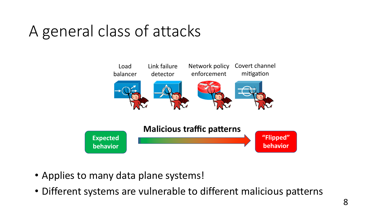## A general class of attacks



- Applies to many data plane systems!
- Different systems are vulnerable to different malicious patterns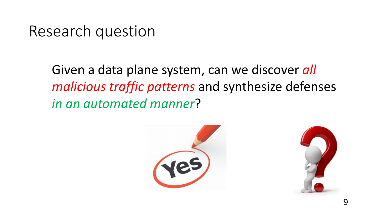#### Research question

Given a data plane system, can we discover *all malicious traffic patterns* and synthesize defenses *in an automated manner*?



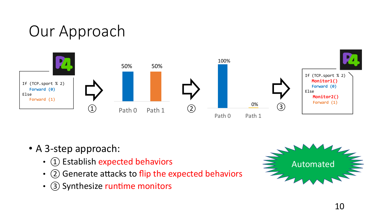## Our Approach



- A 3-step approach:
	- (1) Establish expected behaviors
	- $(2)$  Generate attacks to flip the expected behaviors
	- $\cdot$  (3) Synthesize runtime monitors

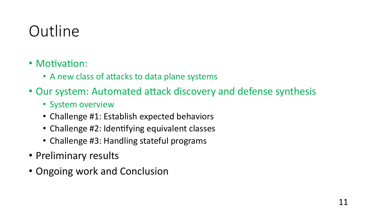## **Outline**

- Motivation:
	- A new class of attacks to data plane systems
- Our system: Automated attack discovery and defense synthesis
	- System overview
	- Challenge #1: Establish expected behaviors
	- Challenge #2: Identifying equivalent classes
	- Challenge #3: Handling stateful programs
- Preliminary results
- Ongoing work and Conclusion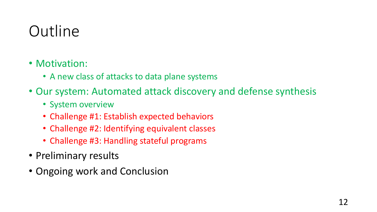## **Outline**

- Motivation:
	- A new class of attacks to data plane systems
- Our system: Automated attack discovery and defense synthesis
	- System overview
	- Challenge #1: Establish expected behaviors
	- Challenge #2: Identifying equivalent classes
	- Challenge #3: Handling stateful programs
- Preliminary results
- Ongoing work and Conclusion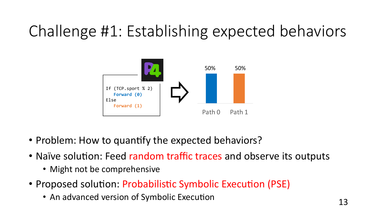## Challenge #1: Establishing expected behaviors



- Problem: How to quantify the expected behaviors?
- Naïve solution: Feed random traffic traces and observe its outputs
	- Might not be comprehensive
- Proposed solution: Probabilistic Symbolic Execution (PSE)
	- An advanced version of Symbolic Execution 13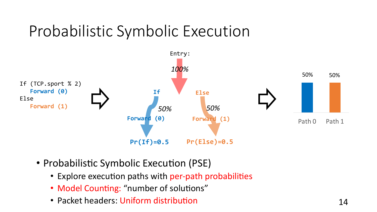#### Probabilistic Symbolic Execution



- Probabilistic Symbolic Execution (PSE)
	- Explore execution paths with per-path probabilities
	- Model Counting: "number of solutions"
	- Packet headers: Uniform distribution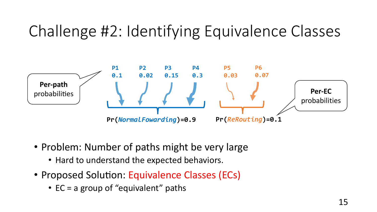#### Challenge #2: Identifying Equivalence Classes



- Problem: Number of paths might be very large
	- Hard to understand the expected behaviors.
- Proposed Solution: Equivalence Classes (ECs)
	- EC = a group of "equivalent" paths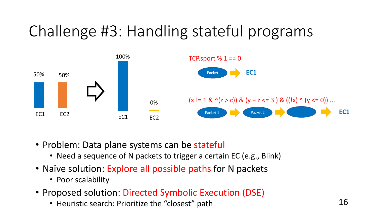## Challenge #3: Handling stateful programs



- Problem: Data plane systems can be stateful
	- Need a sequence of N packets to trigger a certain EC (e.g., Blink)
- Naïve solution: Explore all possible paths for N packets
	- Poor scalability
- Proposed solution: Directed Symbolic Execution (DSE)
	- Heuristic search: Prioritize the "closest" path 16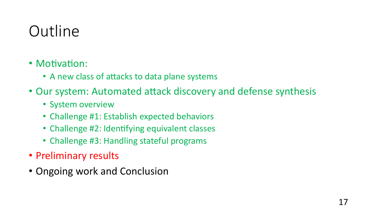## **Outline**

- Motivation:
	- A new class of attacks to data plane systems
- Our system: Automated attack discovery and defense synthesis
	- System overview
	- Challenge #1: Establish expected behaviors
	- Challenge #2: Identifying equivalent classes
	- Challenge #3: Handling stateful programs
- Preliminary results
- Ongoing work and Conclusion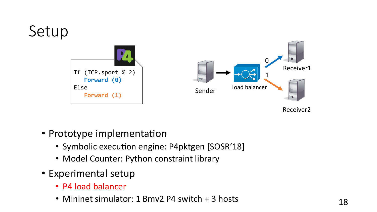

- Prototype implementation
	- Symbolic execution engine: P4pktgen [SOSR'18]
	- Model Counter: Python constraint library
- Experimental setup
	- P4 load balancer
	- Mininet simulator: 1 Bmv2 P4 switch + 3 hosts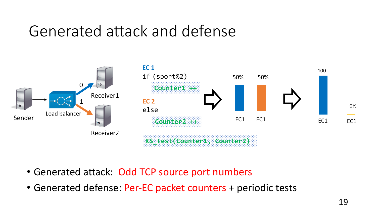#### Generated attack and defense



- Generated attack: Odd TCP source port numbers
- Generated defense: Per-EC packet counters + periodic tests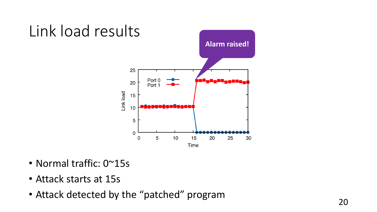

- Normal traffic: 0~15s
- Attack starts at 15s
- Attack detected by the "patched" program 20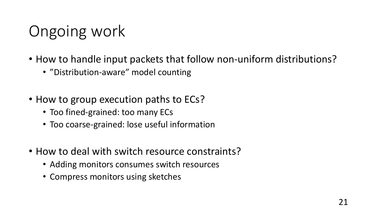## Ongoing work

- How to handle input packets that follow non-uniform distributions?
	- "Distribution-aware" model counting
- How to group execution paths to ECs?
	- Too fined-grained: too many ECs
	- Too coarse-grained: lose useful information
- How to deal with switch resource constraints?
	- Adding monitors consumes switch resources
	- Compress monitors using sketches